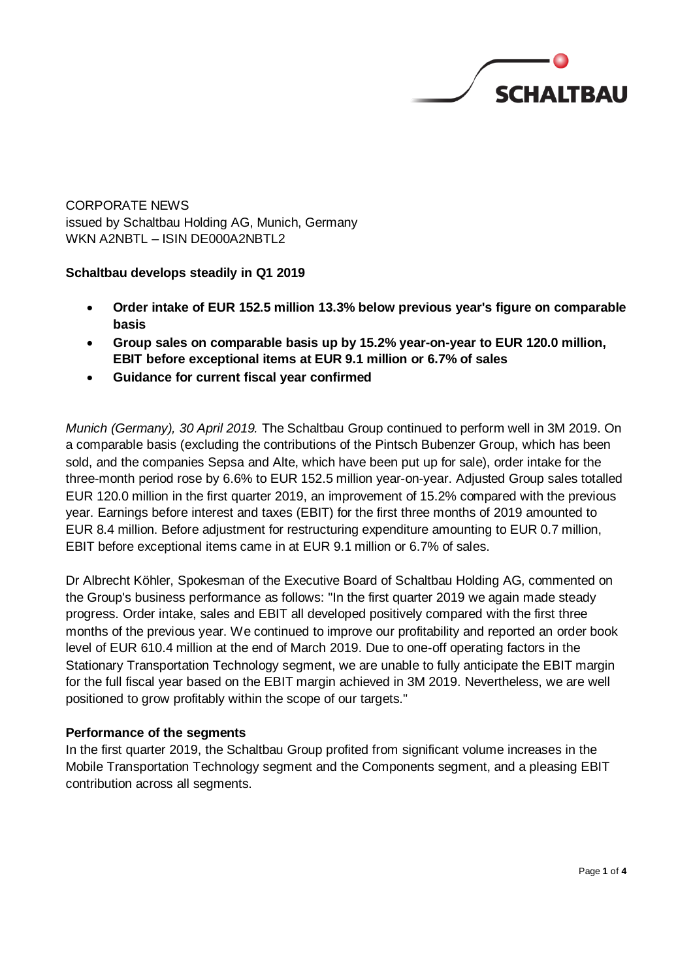

CORPORATE NEWS issued by Schaltbau Holding AG, Munich, Germany WKN A2NBTL – ISIN DE000A2NBTL2

## **Schaltbau develops steadily in Q1 2019**

- **Order intake of EUR 152.5 million 13.3% below previous year's figure on comparable basis**
- **Group sales on comparable basis up by 15.2% year-on-year to EUR 120.0 million, EBIT before exceptional items at EUR 9.1 million or 6.7% of sales**
- **Guidance for current fiscal year confirmed**

*Munich (Germany), 30 April 2019.* The Schaltbau Group continued to perform well in 3M 2019. On a comparable basis (excluding the contributions of the Pintsch Bubenzer Group, which has been sold, and the companies Sepsa and Alte, which have been put up for sale), order intake for the three-month period rose by 6.6% to EUR 152.5 million year-on-year. Adjusted Group sales totalled EUR 120.0 million in the first quarter 2019, an improvement of 15.2% compared with the previous year. Earnings before interest and taxes (EBIT) for the first three months of 2019 amounted to EUR 8.4 million. Before adjustment for restructuring expenditure amounting to EUR 0.7 million, EBIT before exceptional items came in at EUR 9.1 million or 6.7% of sales.

Dr Albrecht Köhler, Spokesman of the Executive Board of Schaltbau Holding AG, commented on the Group's business performance as follows: "In the first quarter 2019 we again made steady progress. Order intake, sales and EBIT all developed positively compared with the first three months of the previous year. We continued to improve our profitability and reported an order book level of EUR 610.4 million at the end of March 2019. Due to one-off operating factors in the Stationary Transportation Technology segment, we are unable to fully anticipate the EBIT margin for the full fiscal year based on the EBIT margin achieved in 3M 2019. Nevertheless, we are well positioned to grow profitably within the scope of our targets."

## **Performance of the segments**

In the first quarter 2019, the Schaltbau Group profited from significant volume increases in the Mobile Transportation Technology segment and the Components segment, and a pleasing EBIT contribution across all segments.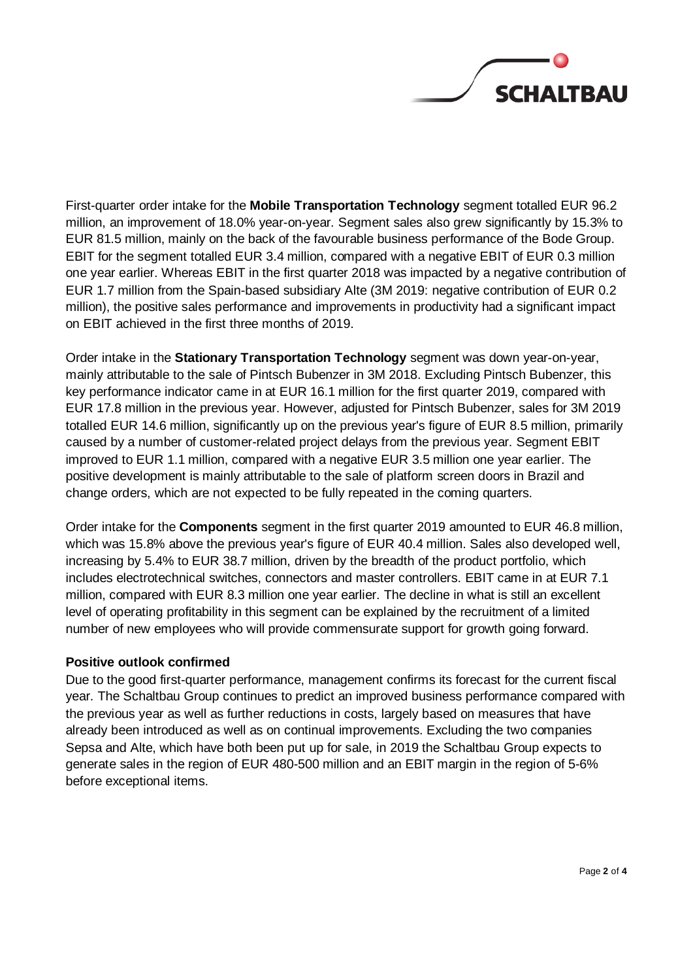

First-quarter order intake for the **Mobile Transportation Technology** segment totalled EUR 96.2 million, an improvement of 18.0% year-on-year. Segment sales also grew significantly by 15.3% to EUR 81.5 million, mainly on the back of the favourable business performance of the Bode Group. EBIT for the segment totalled EUR 3.4 million, compared with a negative EBIT of EUR 0.3 million one year earlier. Whereas EBIT in the first quarter 2018 was impacted by a negative contribution of EUR 1.7 million from the Spain-based subsidiary Alte (3M 2019: negative contribution of EUR 0.2 million), the positive sales performance and improvements in productivity had a significant impact on EBIT achieved in the first three months of 2019.

Order intake in the **Stationary Transportation Technology** segment was down year-on-year, mainly attributable to the sale of Pintsch Bubenzer in 3M 2018. Excluding Pintsch Bubenzer, this key performance indicator came in at EUR 16.1 million for the first quarter 2019, compared with EUR 17.8 million in the previous year. However, adjusted for Pintsch Bubenzer, sales for 3M 2019 totalled EUR 14.6 million, significantly up on the previous year's figure of EUR 8.5 million, primarily caused by a number of customer-related project delays from the previous year. Segment EBIT improved to EUR 1.1 million, compared with a negative EUR 3.5 million one year earlier. The positive development is mainly attributable to the sale of platform screen doors in Brazil and change orders, which are not expected to be fully repeated in the coming quarters.

Order intake for the **Components** segment in the first quarter 2019 amounted to EUR 46.8 million, which was 15.8% above the previous year's figure of EUR 40.4 million. Sales also developed well, increasing by 5.4% to EUR 38.7 million, driven by the breadth of the product portfolio, which includes electrotechnical switches, connectors and master controllers. EBIT came in at EUR 7.1 million, compared with EUR 8.3 million one year earlier. The decline in what is still an excellent level of operating profitability in this segment can be explained by the recruitment of a limited number of new employees who will provide commensurate support for growth going forward.

## **Positive outlook confirmed**

Due to the good first-quarter performance, management confirms its forecast for the current fiscal year. The Schaltbau Group continues to predict an improved business performance compared with the previous year as well as further reductions in costs, largely based on measures that have already been introduced as well as on continual improvements. Excluding the two companies Sepsa and Alte, which have both been put up for sale, in 2019 the Schaltbau Group expects to generate sales in the region of EUR 480-500 million and an EBIT margin in the region of 5-6% before exceptional items.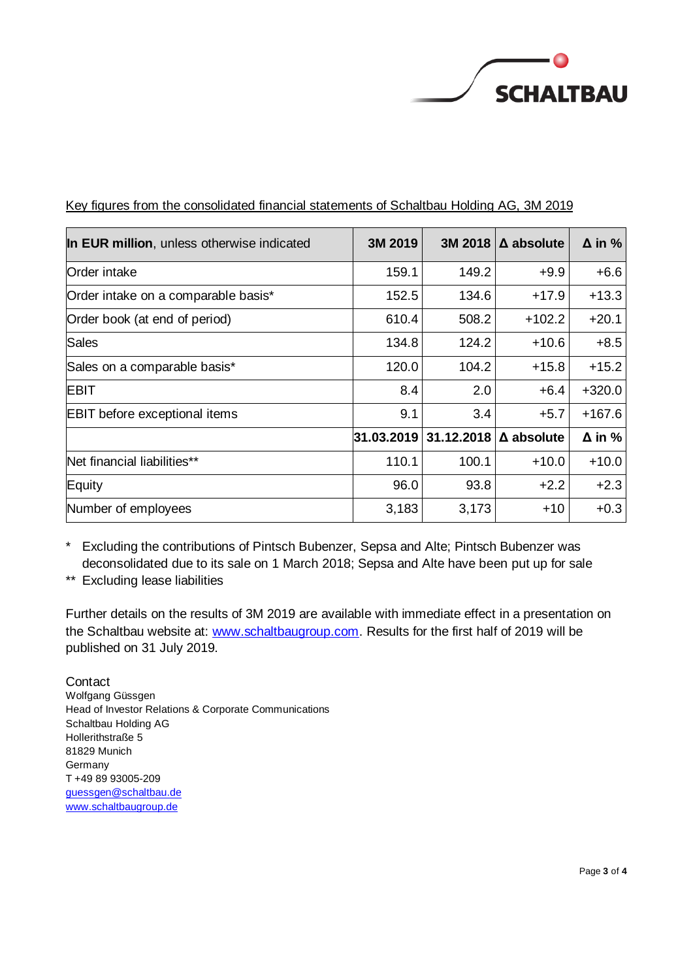

| In EUR million, unless otherwise indicated | 3M 2019    | 3M 2018    | $\Delta$ absolute | $\Delta$ in % |
|--------------------------------------------|------------|------------|-------------------|---------------|
| Order intake                               | 159.1      | 149.2      | $+9.9$            | $+6.6$        |
| Order intake on a comparable basis*        | 152.5      | 134.6      | $+17.9$           | $+13.3$       |
| Order book (at end of period)              | 610.4      | 508.2      | $+102.2$          | $+20.1$       |
| Sales                                      | 134.8      | 124.2      | $+10.6$           | $+8.5$        |
| Sales on a comparable basis*               | 120.0      | 104.2      | $+15.8$           | $+15.2$       |
| <b>EBIT</b>                                | 8.4        | 2.0        | $+6.4$            | $+320.0$      |
| <b>EBIT</b> before exceptional items       | 9.1        | 3.4        | $+5.7$            | $+167.6$      |
|                                            | 31.03.2019 | 31.12.2018 | $\Delta$ absolute | $\Delta$ in % |
| Net financial liabilities**                | 110.1      | 100.1      | $+10.0$           | $+10.0$       |
| Equity                                     | 96.0       | 93.8       | $+2.2$            | $+2.3$        |
| Number of employees                        | 3,183      | 3,173      | $+10$             | $+0.3$        |

# Key figures from the consolidated financial statements of Schaltbau Holding AG, 3M 2019

\* Excluding the contributions of Pintsch Bubenzer, Sepsa and Alte; Pintsch Bubenzer was deconsolidated due to its sale on 1 March 2018; Sepsa and Alte have been put up for sale

\*\* Excluding lease liabilities

Further details on the results of 3M 2019 are available with immediate effect in a presentation on the Schaltbau website at: [www.schaltbaugroup.com.](http://www.schaltbaugroup.com/) Results for the first half of 2019 will be published on 31 July 2019.

**Contact** Wolfgang Güssgen Head of Investor Relations & Corporate Communications Schaltbau Holding AG Hollerithstraße 5 81829 Munich **Germany** T +49 89 93005-209 [guessgen@schaltbau.de](mailto:Guessgen@schaltbau.de) [www.schaltbaugroup.de](http://www.schaltbaugroup.de/)